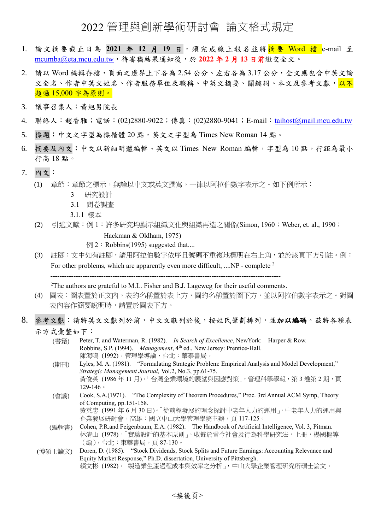## 2022 管理與創新學術研討會 論文格式規定

- 1. 論文摘要截止日為 **2021** 年 **12** 月 **19** 日,須完成線上報名並將摘要 Word 檔 e-mail 至 [mcumba@eta.mcu.edu.tw](mailto:mcumba@eta.mcu.edu.tw),待審稿結果通知後,於 **2022** 年 **2** 月 **13** 日前繳交全文。
- 2. 請以 Word 編輯存檔,頁面之邊界上下各為 2.54 公分、左右各為 3.17 公分,全文應包含中英文論 文全名、作者中英文姓名、作者服務單位及職稱、中英文摘要、關鍵詞、本文及參考文獻,<mark>以不</mark> 超過 15,000 字為原則。
- 3. 議事召集人:黃旭男院長
- 4. 聯絡人:趙香雅;電話:(02)2880-9022;傳真:(02)2880-9041;E-mail:[taihost@mail.mcu.edu.tw](mailto:taihost@mail.mcu.edu.tw)
- 5. 標題:中文之字型為標楷體 20點,英文之字型為 Times New Roman 14點。
- 6. 摘要及內文:中文以新細明體編輯、英文以 Times New Roman 編輯,字型為 10 點,行距為最小 行高 18 點。
- 7. 內文:
	- (1) 章節:章節之標示,無論以中文或英文撰寫,一律以阿拉伯數字表示之。如下例所示:
		- 3 研究設計
		- 3.1 問卷調查
		- 3.1.1 樣本
	- (2) 引述文獻:例 1:許多研究均顯示組織文化與組織再造之關係(Simon, 1960;Weber, et. al., 1990;
		- Hackman & Oldham, 1975)
		- $\varphi$  2: Robbins(1995) suggested that...
	- (3) 註腳:文中如有註腳,請用阿拉伯數字依序且號碼不重複地標明在右上角,並於該頁下方引註。例: For other problems, which are apparently even more difficult, ..., NP - complete <sup>2</sup>

----------------------------------------------------------------------------------------------------

<sup>2</sup>The authors are grateful to M.L. Fisher and B.J. Lageweg for their useful comments.

- (4) 圖表:圖表置於正文內,表的名稱置於表上方,圖的名稱置於圖下方,並以阿拉伯數字表示之。對圖 表內容作簡要說明時,請置於圖表下方。
- 8. 參考文獻:請將英文文獻列於前,中文文獻列於後,按姓氏筆劃排列,並加以編碼。茲將各種表 示方式彙整如下:
	- (書籍) Peter, T. and Waterman, R. (1982). *In Search of Excellence*, NewYork: Harper & Row. Robbins, S.P. (1994). *Management*, 4<sup>th</sup> ed., New Jersey: Prentice-Hall. 陳海鳴 (1992)。管理學導論,台北:華泰書局。
	- (期刊) Lyles, M. A. (1981). "Formulating Strategic Problem: Empirical Analysis and Model Development," *Strategic Management Journal,* Vol.2, No.3, pp.61-75. 黃俊英 (1986年11月)。「台灣企業環境的展望與因應對策」, 管理科學學報, 第3卷第2期, 頁 129-146。
	- (會議) Cook, S.A.(1971). "The Complexity of Theorem Procedures," Proc. 3rd Annual ACM Symp, Theory of Computing, pp.151-158. 黃英忠 (1991 年 6 月 30 日)。「從前程發展的理念探討中老年人力的運用」,中老年人力的運用與 企業發展研討會,高雄:國立中山大學管理學院主辦,頁 117-125。
	- (編輯書) Cohen, P.R.and Feigenbaum, E.A. (1982). The Handbook of Artificial Intelligence, Vol. 3, Pitman. 林清山 (1978)。「實驗設計的基本原則」,收錄於當今社會及行為科學研究法,上冊,楊國樞等 (編),台北:東華書局,頁 87-130。
	- (博碩士論文) Doren, D. (1985). "Stock Dividends, Stock Splits and Future Earnings: Accounting Relevance and Equity Market Response," Ph.D. dissertation, University of Pittsbergh. 賴文彬 (1982)。「製造業生產過程成本與效率之分析」,中山大學企業管理研究所碩士論文。